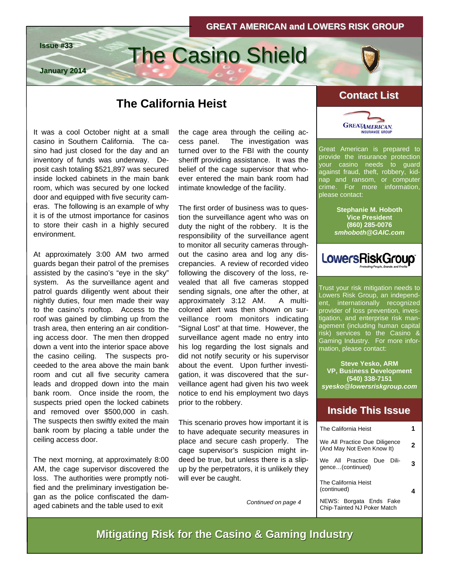# **Issue #33** The Casino Shield



## **Contact List Contact The California Heist**

It was a cool October night at a small casino in Southern California. The casino had just closed for the day and an inventory of funds was underway. Deposit cash totaling \$521,897 was secured inside locked cabinets in the main bank room, which was secured by one locked door and equipped with five security cameras. The following is an example of why it is of the utmost importance for casinos to store their cash in a highly secured environment.

**January 2014**

At approximately 3:00 AM two armed guards began their patrol of the premises assisted by the casino's "eye in the sky" system. As the surveillance agent and patrol guards diligently went about their nightly duties, four men made their way to the casino's rooftop. Access to the roof was gained by climbing up from the trash area, then entering an air conditioning access door. The men then dropped down a vent into the interior space above the casino ceiling. The suspects proceeded to the area above the main bank room and cut all five security camera leads and dropped down into the main bank room. Once inside the room, the suspects pried open the locked cabinets and removed over \$500,000 in cash. The suspects then swiftly exited the main bank room by placing a table under the ceiling access door.

The next morning, at approximately 8:00 AM, the cage supervisor discovered the loss. The authorities were promptly notified and the preliminary investigation began as the police confiscated the damaged cabinets and the table used to exit

the cage area through the ceiling access panel. The investigation was turned over to the FBI with the county sheriff providing assistance. It was the belief of the cage supervisor that whoever entered the main bank room had intimate knowledge of the facility.

The first order of business was to question the surveillance agent who was on duty the night of the robbery. It is the responsibility of the surveillance agent to monitor all security cameras throughout the casino area and log any discrepancies. A review of recorded video following the discovery of the loss, revealed that all five cameras stopped sending signals, one after the other, at approximately 3:12 AM. A multicolored alert was then shown on surveillance room monitors indicating "Signal Lost" at that time. However, the surveillance agent made no entry into his log regarding the lost signals and did not notify security or his supervisor about the event. Upon further investigation, it was discovered that the surveillance agent had given his two week notice to end his employment two days prior to the robbery.

This scenario proves how important it is to have adequate security measures in place and secure cash properly. The cage supervisor's suspicion might indeed be true, but unless there is a slipup by the perpetrators, it is unlikely they will ever be caught.

*Continued on page 4* 



Great American is prepared to provide the insurance protection your casino needs to guard against fraud, theft, robbery, kidnap and ransom, or computer crime. For more information, please contact:

> **Stephanie M. Hoboth Vice President (860) 285-0076**  *smhoboth@GAIC.com*



Trust your risk mitigation needs to Lowers Risk Group, an independent, internationally recognized provider of loss prevention, investigation, and enterprise risk management (including human capital risk) services to the Casino & Gaming Industry. For more information, please contact:

**Steve Yesko, ARM VP, Business Development (540) 338-7151**  *syesko@lowersriskgroup.com* 

#### **Inside This Issue Inside This Issue**

| The California Heist                                          |   |
|---------------------------------------------------------------|---|
| We All Practice Due Diligence<br>(And May Not Even Know It)   | 2 |
| We All Practice Due<br>– Dili-<br>gence(continued)            | 3 |
| The California Heist<br>(continued)                           |   |
| NEWS: Borgata Ends Fake<br><b>Chip-Tainted NJ Poker Match</b> |   |

#### **Mitigating Risk for the Casino & Gaming Industry**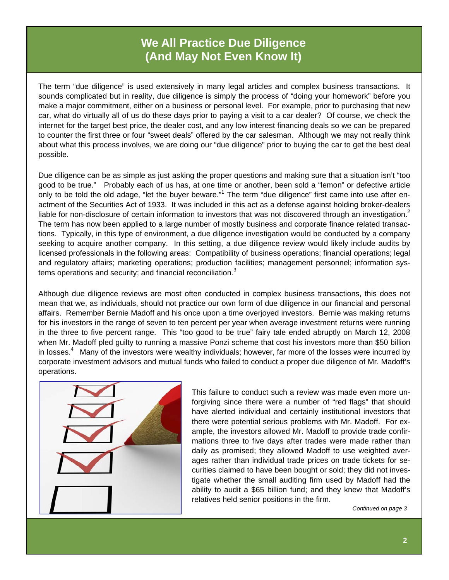### **We All Practice Due Diligence (And May Not Even Know It)**

The term "due diligence" is used extensively in many legal articles and complex business transactions. It sounds complicated but in reality, due diligence is simply the process of "doing your homework" before you make a major commitment, either on a business or personal level. For example, prior to purchasing that new car, what do virtually all of us do these days prior to paying a visit to a car dealer? Of course, we check the internet for the target best price, the dealer cost, and any low interest financing deals so we can be prepared to counter the first three or four "sweet deals" offered by the car salesman. Although we may not really think about what this process involves, we are doing our "due diligence" prior to buying the car to get the best deal possible.

Due diligence can be as simple as just asking the proper questions and making sure that a situation isn't "too good to be true." Probably each of us has, at one time or another, been sold a "lemon" or defective article only to be told the old adage, "let the buyer beware."<sup>1</sup> The term "due diligence" first came into use after enactment of the Securities Act of 1933. It was included in this act as a defense against holding broker-dealers liable for non-disclosure of certain information to investors that was not discovered through an investigation.<sup>2</sup> The term has now been applied to a large number of mostly business and corporate finance related transactions. Typically, in this type of environment, a due diligence investigation would be conducted by a company seeking to acquire another company. In this setting, a due diligence review would likely include audits by licensed professionals in the following areas: Compatibility of business operations; financial operations; legal and regulatory affairs; marketing operations; production facilities; management personnel; information systems operations and security; and financial reconciliation. $3$ 

Although due diligence reviews are most often conducted in complex business transactions, this does not mean that we, as individuals, should not practice our own form of due diligence in our financial and personal affairs. Remember Bernie Madoff and his once upon a time overjoyed investors. Bernie was making returns for his investors in the range of seven to ten percent per year when average investment returns were running in the three to five percent range. This "too good to be true" fairy tale ended abruptly on March 12, 2008 when Mr. Madoff pled guilty to running a massive Ponzi scheme that cost his investors more than \$50 billion in losses.<sup>4</sup> Many of the investors were wealthy individuals; however, far more of the losses were incurred by corporate investment advisors and mutual funds who failed to conduct a proper due diligence of Mr. Madoff's operations.



This failure to conduct such a review was made even more unforgiving since there were a number of "red flags" that should have alerted individual and certainly institutional investors that there were potential serious problems with Mr. Madoff. For example, the investors allowed Mr. Madoff to provide trade confirmations three to five days after trades were made rather than daily as promised; they allowed Madoff to use weighted averages rather than individual trade prices on trade tickets for securities claimed to have been bought or sold; they did not investigate whether the small auditing firm used by Madoff had the ability to audit a \$65 billion fund; and they knew that Madoff's relatives held senior positions in the firm.

*Continued on page 3*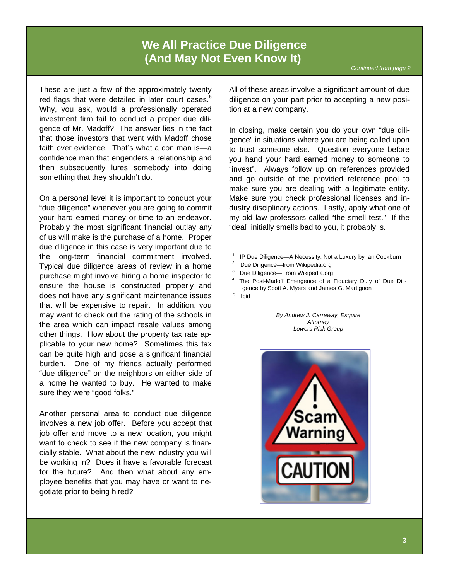#### **We All Practice Due Diligence (And May Not Even Know It)**

These are just a few of the approximately twenty red flags that were detailed in later court cases. $5$ Why, you ask, would a professionally operated investment firm fail to conduct a proper due diligence of Mr. Madoff? The answer lies in the fact that those investors that went with Madoff chose faith over evidence. That's what a con man is—a confidence man that engenders a relationship and then subsequently lures somebody into doing something that they shouldn't do.

On a personal level it is important to conduct your "due diligence" whenever you are going to commit your hard earned money or time to an endeavor. Probably the most significant financial outlay any of us will make is the purchase of a home. Proper due diligence in this case is very important due to the long-term financial commitment involved. Typical due diligence areas of review in a home purchase might involve hiring a home inspector to ensure the house is constructed properly and does not have any significant maintenance issues that will be expensive to repair. In addition, you may want to check out the rating of the schools in the area which can impact resale values among other things. How about the property tax rate applicable to your new home? Sometimes this tax can be quite high and pose a significant financial burden. One of my friends actually performed "due diligence" on the neighbors on either side of a home he wanted to buy. He wanted to make sure they were "good folks."

Another personal area to conduct due diligence involves a new job offer. Before you accept that job offer and move to a new location, you might want to check to see if the new company is financially stable. What about the new industry you will be working in? Does it have a favorable forecast for the future? And then what about any employee benefits that you may have or want to negotiate prior to being hired?

All of these areas involve a significant amount of due diligence on your part prior to accepting a new position at a new company.

In closing, make certain you do your own "due diligence" in situations where you are being called upon to trust someone else. Question everyone before you hand your hard earned money to someone to "invest". Always follow up on references provided and go outside of the provided reference pool to make sure you are dealing with a legitimate entity. Make sure you check professional licenses and industry disciplinary actions. Lastly, apply what one of my old law professors called "the smell test." If the "deal" initially smells bad to you, it probably is.

- <sup>1</sup> IP Due Diligence—A Necessity, Not a Luxury by Ian Cockburn  $\frac{2}{3}$  Due Diligence—from Wikipedia.org
- 

\_\_\_\_\_\_\_\_\_\_\_\_\_\_\_\_\_\_\_\_\_\_\_\_\_\_\_\_\_\_\_\_\_\_\_\_

- 
- <sup>3</sup> Due Diligence—From Wikipedia.org<br><sup>4</sup> The Post-Madoff Emergence of a Fiduciary Duty of Due Diligence by Scott A. Myers and James G. Martignon 5 Ibid
- 

*By Andrew J. Carraway, Esquire Attorney Lowers Risk Group*